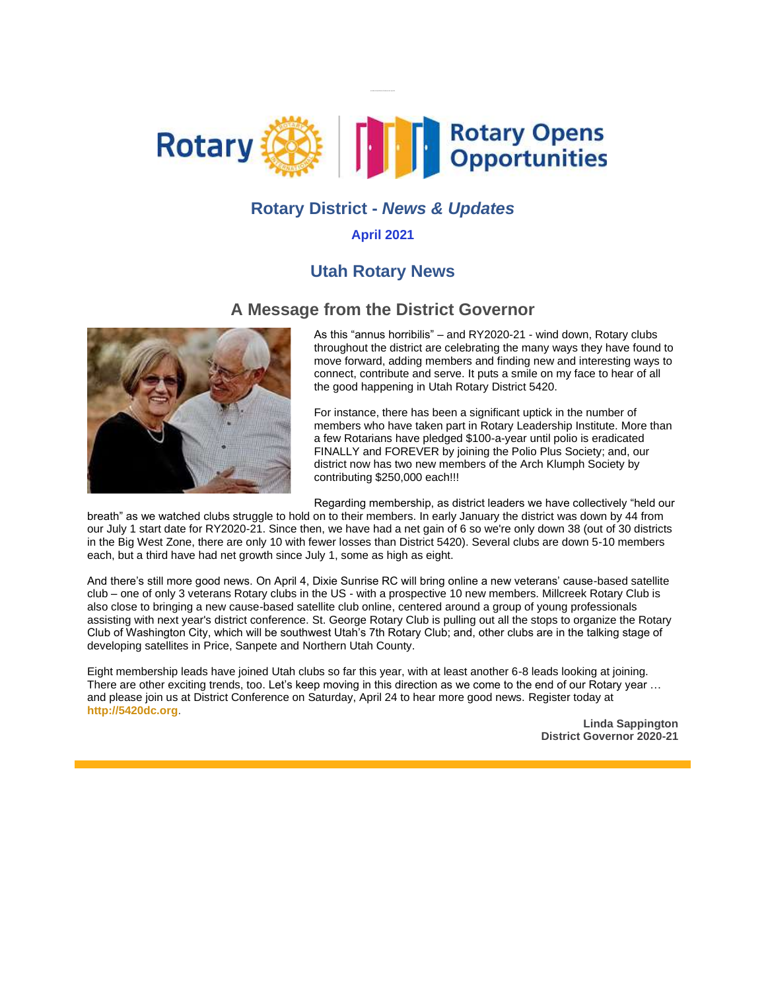

## **Rotary District -** *News & Updates*

#### **April 2021**

## **Utah Rotary News**

#### **A Message from the District Governor**



As this "annus horribilis" – and RY2020-21 - wind down, Rotary clubs throughout the district are celebrating the many ways they have found to move forward, adding members and finding new and interesting ways to connect, contribute and serve. It puts a smile on my face to hear of all the good happening in Utah Rotary District 5420.

For instance, there has been a significant uptick in the number of members who have taken part in Rotary Leadership Institute. More than a few Rotarians have pledged \$100-a-year until polio is eradicated FINALLY and FOREVER by joining the Polio Plus Society; and, our district now has two new members of the Arch Klumph Society by contributing \$250,000 each!!!

Regarding membership, as district leaders we have collectively "held our

breath" as we watched clubs struggle to hold on to their members. In early January the district was down by 44 from our July 1 start date for RY2020-21. Since then, we have had a net gain of 6 so we're only down 38 (out of 30 districts in the Big West Zone, there are only 10 with fewer losses than District 5420). Several clubs are down 5-10 members each, but a third have had net growth since July 1, some as high as eight.

And there's still more good news. On April 4, Dixie Sunrise RC will bring online a new veterans' cause-based satellite club – one of only 3 veterans Rotary clubs in the US - with a prospective 10 new members. Millcreek Rotary Club is also close to bringing a new cause-based satellite club online, centered around a group of young professionals assisting with next year's district conference. St. George Rotary Club is pulling out all the stops to organize the Rotary Club of Washington City, which will be southwest Utah's 7th Rotary Club; and, other clubs are in the talking stage of developing satellites in Price, Sanpete and Northern Utah County.

Eight membership leads have joined Utah clubs so far this year, with at least another 6-8 leads looking at joining. There are other exciting trends, too. Let's keep moving in this direction as we come to the end of our Rotary year … and please join us at District Conference on Saturday, April 24 to hear more good news. Register today at **[http://5420dc.org](https://nam04.safelinks.protection.outlook.com/?url=http%3A%2F%2Fr20.rs6.net%2Ftn.jsp%3Ff%3D0014DfaCPhFtsx7U3Bk516hfTWPGaRy-YcnmM11cgiMX9F2u8z83l8rGQZydSsd_hS2cWPB0J4Ext6MFNN6q0G_TSxauTwgMHs_cW3lWNHx3_O7gCAUYUadnIQMSsMKCnUtzCQJzxlmIAo%3D%26c%3Dv573Vn_Kfz8iYx1nmgZPER-qzU0WztczC5DPDZcXeYlHpN8R2vXNAw%3D%3D%26ch%3DgjbHUflJLL4R7P31GEr3Ddf3dMCWgmAKh6Wir1_Kabc2azw1TWkFpQ%3D%3D&data=04%7C01%7Cabdrisba%40uvu.edu%7Cff7e5c894c174c85b9f608d8f537982a%7C1ea2b65f2f5e440eb025dfdfafd8e097%7C0%7C0%7C637528968116850492%7CUnknown%7CTWFpbGZsb3d8eyJWIjoiMC4wLjAwMDAiLCJQIjoiV2luMzIiLCJBTiI6Ik1haWwiLCJXVCI6Mn0%3D%7C2000&sdata=%2FBMBH9j6ecI%2BwOxHr1rdvdsoebvdYjdF%2FzZrVoQOmb0%3D&reserved=0)**.

> **Linda Sappington District Governor 2020-21**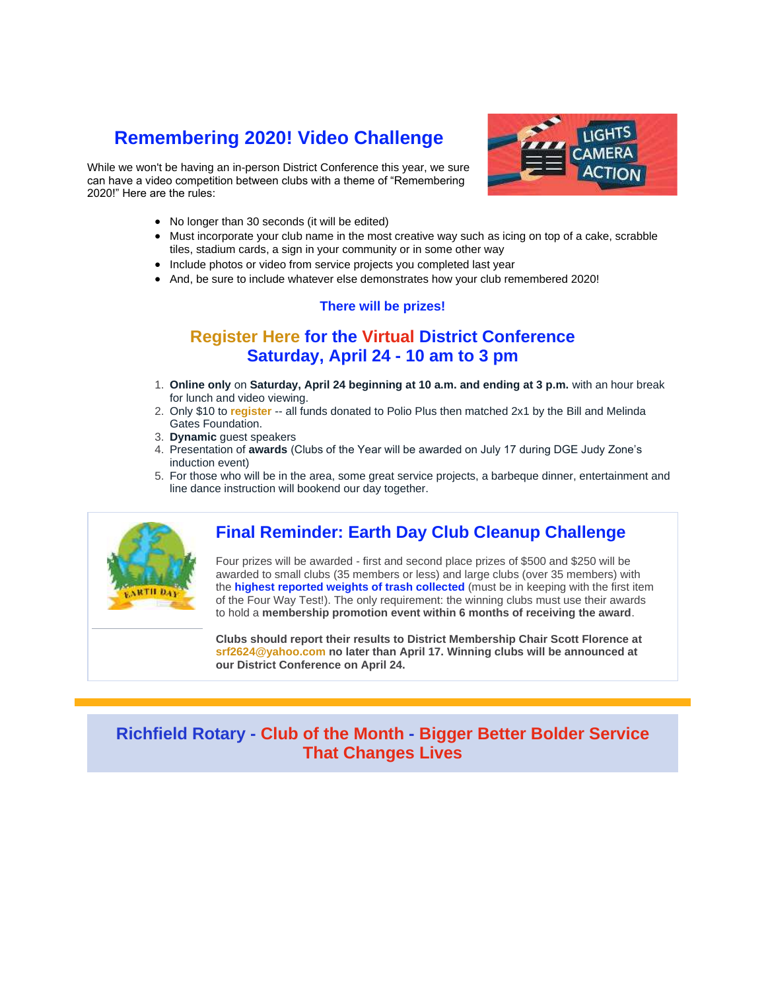# **Remembering 2020! Video Challenge**

While we won't be having an in-person District Conference this year, we sure can have a video competition between clubs with a theme of "Remembering 2020!" Here are the rules:



- No longer than 30 seconds (it will be edited)
- Must incorporate your club name in the most creative way such as icing on top of a cake, scrabble tiles, stadium cards, a sign in your community or in some other way
- Include photos or video from service projects you completed last year
- And, be sure to include whatever else demonstrates how your club remembered 2020!

#### **There will be prizes!**

## **[Register Here](https://nam04.safelinks.protection.outlook.com/?url=http%3A%2F%2Fr20.rs6.net%2Ftn.jsp%3Ff%3D0014DfaCPhFtsx7U3Bk516hfTWPGaRy-YcnmM11cgiMX9F2u8z83l8rGQZydSsd_hS2cWPB0J4Ext6MFNN6q0G_TSxauTwgMHs_cW3lWNHx3_O7gCAUYUadnIQMSsMKCnUtzCQJzxlmIAo%3D%26c%3Dv573Vn_Kfz8iYx1nmgZPER-qzU0WztczC5DPDZcXeYlHpN8R2vXNAw%3D%3D%26ch%3DgjbHUflJLL4R7P31GEr3Ddf3dMCWgmAKh6Wir1_Kabc2azw1TWkFpQ%3D%3D&data=04%7C01%7Cabdrisba%40uvu.edu%7Cff7e5c894c174c85b9f608d8f537982a%7C1ea2b65f2f5e440eb025dfdfafd8e097%7C0%7C0%7C637528968116860490%7CUnknown%7CTWFpbGZsb3d8eyJWIjoiMC4wLjAwMDAiLCJQIjoiV2luMzIiLCJBTiI6Ik1haWwiLCJXVCI6Mn0%3D%7C2000&sdata=ykkhP3%2FdTko6w6nve7gDVz7Hw0G4EGvJ3%2BHq7f6Au6A%3D&reserved=0) for the Virtual District Conference Saturday, April 24 - 10 am to 3 pm**

- 1. **Online only** on **Saturday, April 24 beginning at 10 a.m. and ending at 3 p.m.** with an hour break for lunch and video viewing.
- 2. Only \$10 to **[register](https://nam04.safelinks.protection.outlook.com/?url=http%3A%2F%2Fr20.rs6.net%2Ftn.jsp%3Ff%3D0014DfaCPhFtsx7U3Bk516hfTWPGaRy-YcnmM11cgiMX9F2u8z83l8rGQZydSsd_hS2cWPB0J4Ext6MFNN6q0G_TSxauTwgMHs_cW3lWNHx3_O7gCAUYUadnIQMSsMKCnUtzCQJzxlmIAo%3D%26c%3Dv573Vn_Kfz8iYx1nmgZPER-qzU0WztczC5DPDZcXeYlHpN8R2vXNAw%3D%3D%26ch%3DgjbHUflJLL4R7P31GEr3Ddf3dMCWgmAKh6Wir1_Kabc2azw1TWkFpQ%3D%3D&data=04%7C01%7Cabdrisba%40uvu.edu%7Cff7e5c894c174c85b9f608d8f537982a%7C1ea2b65f2f5e440eb025dfdfafd8e097%7C0%7C0%7C637528968116860490%7CUnknown%7CTWFpbGZsb3d8eyJWIjoiMC4wLjAwMDAiLCJQIjoiV2luMzIiLCJBTiI6Ik1haWwiLCJXVCI6Mn0%3D%7C2000&sdata=ykkhP3%2FdTko6w6nve7gDVz7Hw0G4EGvJ3%2BHq7f6Au6A%3D&reserved=0)** -- all funds donated to Polio Plus then matched 2x1 by the Bill and Melinda Gates Foundation.
- 3. **Dynamic** guest speakers
- 4. Presentation of **awards** (Clubs of the Year will be awarded on July 17 during DGE Judy Zone's induction event)
- 5. For those who will be in the area, some great service projects, a barbeque dinner, entertainment and line dance instruction will bookend our day together.



## **Final Reminder: Earth Day Club Cleanup Challenge**

Four prizes will be awarded - first and second place prizes of \$500 and \$250 will be awarded to small clubs (35 members or less) and large clubs (over 35 members) with the **highest reported weights of trash collected** (must be in keeping with the first item of the Four Way Test!). The only requirement: the winning clubs must use their awards to hold a **membership promotion event within 6 months of receiving the award**.

**Clubs should report their results to District Membership Chair Scott Florence at [srf2624@yahoo.com n](mailto:srf2624@yahoo.com)o later than April 17. Winning clubs will be announced at our District Conference on April 24.**

## **Richfield Rotary - Club of the Month - Bigger Better Bolder Service That Changes Lives**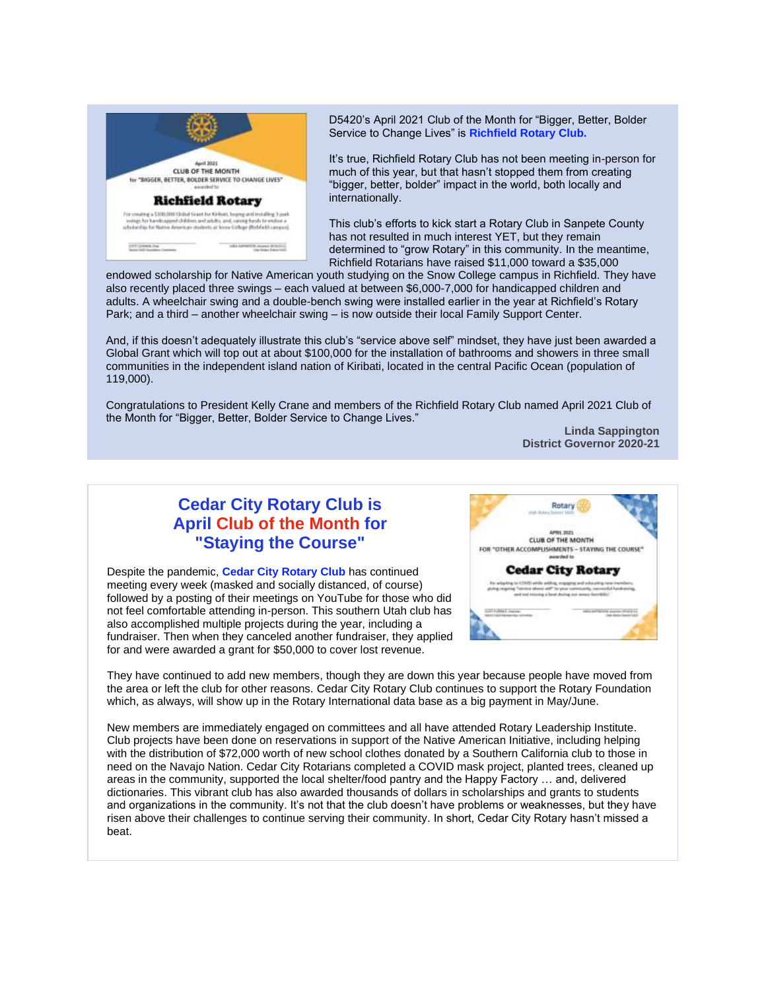

D5420's April 2021 Club of the Month for "Bigger, Better, Bolder Service to Change Lives" is **Richfield Rotary Club.**

It's true, Richfield Rotary Club has not been meeting in-person for much of this year, but that hasn't stopped them from creating "bigger, better, bolder" impact in the world, both locally and internationally.

This club's efforts to kick start a Rotary Club in Sanpete County has not resulted in much interest YET, but they remain determined to "grow Rotary" in this community. In the meantime, Richfield Rotarians have raised \$11,000 toward a \$35,000

endowed scholarship for Native American youth studying on the Snow College campus in Richfield. They have also recently placed three swings – each valued at between \$6,000-7,000 for handicapped children and adults. A wheelchair swing and a double-bench swing were installed earlier in the year at Richfield's Rotary Park; and a third – another wheelchair swing – is now outside their local Family Support Center.

And, if this doesn't adequately illustrate this club's "service above self" mindset, they have just been awarded a Global Grant which will top out at about \$100,000 for the installation of bathrooms and showers in three small communities in the independent island nation of Kiribati, located in the central Pacific Ocean (population of 119,000).

Congratulations to President Kelly Crane and members of the Richfield Rotary Club named April 2021 Club of the Month for "Bigger, Better, Bolder Service to Change Lives."

> **Linda Sappington District Governor 2020-21**

## **Cedar City Rotary Club is April Club of the Month for "Staying the Course"**

Despite the pandemic, **Cedar City Rotary Club** has continued meeting every week (masked and socially distanced, of course) followed by a posting of their meetings on YouTube for those who did not feel comfortable attending in-person. This southern Utah club has also accomplished multiple projects during the year, including a fundraiser. Then when they canceled another fundraiser, they applied for and were awarded a grant for \$50,000 to cover lost revenue.



They have continued to add new members, though they are down this year because people have moved from the area or left the club for other reasons. Cedar City Rotary Club continues to support the Rotary Foundation which, as always, will show up in the Rotary International data base as a big payment in May/June.

New members are immediately engaged on committees and all have attended Rotary Leadership Institute. Club projects have been done on reservations in support of the Native American Initiative, including helping with the distribution of \$72,000 worth of new school clothes donated by a Southern California club to those in need on the Navajo Nation. Cedar City Rotarians completed a COVID mask project, planted trees, cleaned up areas in the community, supported the local shelter/food pantry and the Happy Factory … and, delivered dictionaries. This vibrant club has also awarded thousands of dollars in scholarships and grants to students and organizations in the community. It's not that the club doesn't have problems or weaknesses, but they have risen above their challenges to continue serving their community. In short, Cedar City Rotary hasn't missed a beat.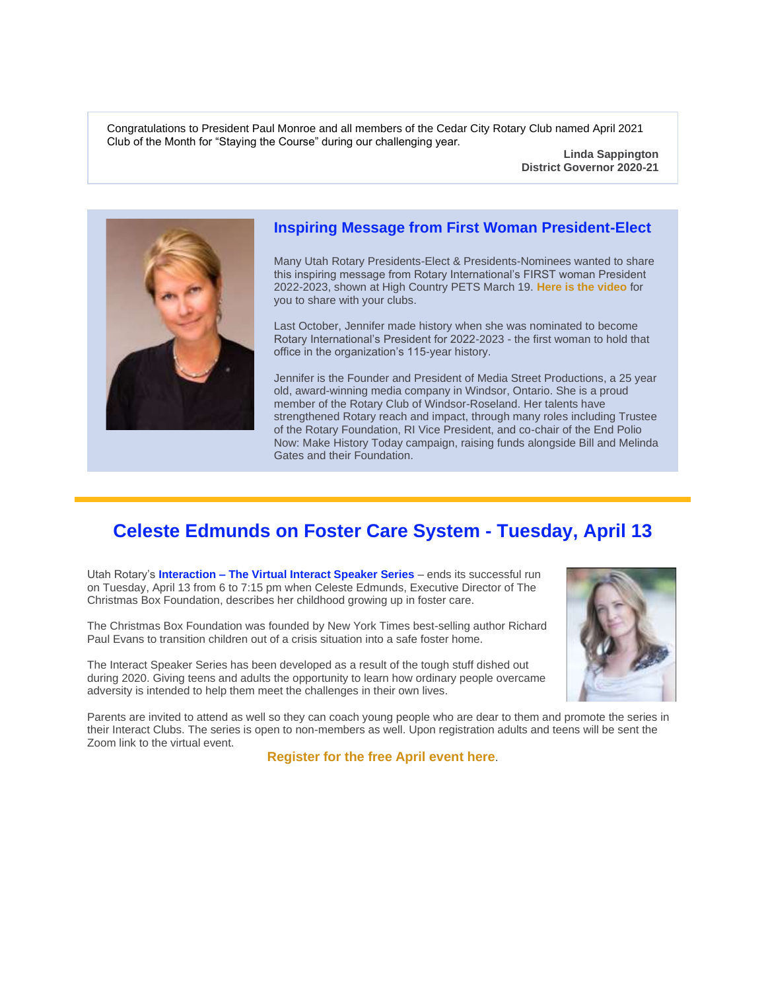Congratulations to President Paul Monroe and all members of the Cedar City Rotary Club named April 2021 Club of the Month for "Staying the Course" during our challenging year.

> **Linda Sappington District Governor 2020-21**



#### **Inspiring Message from First Woman President-Elect**

Many Utah Rotary Presidents-Elect & Presidents-Nominees wanted to share this inspiring message from Rotary International's FIRST woman President 2022-2023, shown at High Country PETS March 19. **[Here is the video](https://nam04.safelinks.protection.outlook.com/?url=http%3A%2F%2Fr20.rs6.net%2Ftn.jsp%3Ff%3D0014DfaCPhFtsx7U3Bk516hfTWPGaRy-YcnmM11cgiMX9F2u8z83l8rGRBQ_ZAqretNfImqASx-zBlsKQBwmrniCGL5ppqePI371L6ItWulPu2eoSmahm6qCqGFx4BsiZgc6ADsNCy7O6GX47MruzNJmjRUFcdg8iXuEya8Km2iBUQVrMCb-EMuTRu5Svlj15rr%26c%3Dv573Vn_Kfz8iYx1nmgZPER-qzU0WztczC5DPDZcXeYlHpN8R2vXNAw%3D%3D%26ch%3DgjbHUflJLL4R7P31GEr3Ddf3dMCWgmAKh6Wir1_Kabc2azw1TWkFpQ%3D%3D&data=04%7C01%7Cabdrisba%40uvu.edu%7Cff7e5c894c174c85b9f608d8f537982a%7C1ea2b65f2f5e440eb025dfdfafd8e097%7C0%7C0%7C637528968116880482%7CUnknown%7CTWFpbGZsb3d8eyJWIjoiMC4wLjAwMDAiLCJQIjoiV2luMzIiLCJBTiI6Ik1haWwiLCJXVCI6Mn0%3D%7C2000&sdata=UdS7XbtHEX47cs0ICEJREj%2F7e%2F%2F2WrFS%2BnOdDhhT9Lw%3D&reserved=0)** for you to share with your clubs.

Last October, Jennifer made history when she was nominated to become Rotary International's President for 2022-2023 - the first woman to hold that office in the organization's 115-year history.

Jennifer is the Founder and President of Media Street Productions, a 25 year old, award-winning media company in Windsor, Ontario. She is a proud member of the Rotary Club of Windsor-Roseland. Her talents have strengthened Rotary reach and impact, through many roles including Trustee of the Rotary Foundation, RI Vice President, and co-chair of the End Polio Now: Make History Today campaign, raising funds alongside Bill and Melinda Gates and their Foundation.

## **Celeste Edmunds on Foster Care System - Tuesday, April 13**

Utah Rotary's **Interaction – The Virtual Interact Speaker Series** – ends its successful run on Tuesday, April 13 from 6 to 7:15 pm when Celeste Edmunds, Executive Director of The Christmas Box Foundation, describes her childhood growing up in foster care.

The Christmas Box Foundation was founded by New York Times best-selling author Richard Paul Evans to transition children out of a crisis situation into a safe foster home.

The Interact Speaker Series has been developed as a result of the tough stuff dished out during 2020. Giving teens and adults the opportunity to learn how ordinary people overcame adversity is intended to help them meet the challenges in their own lives.



Parents are invited to attend as well so they can coach young people who are dear to them and promote the series in their Interact Clubs. The series is open to non-members as well. Upon registration adults and teens will be sent the Zoom link to the virtual event.

**[Register for the free April event here](https://nam04.safelinks.protection.outlook.com/?url=http%3A%2F%2Fr20.rs6.net%2Ftn.jsp%3Ff%3D0014DfaCPhFtsx7U3Bk516hfTWPGaRy-YcnmM11cgiMX9F2u8z83l8rGdPjOO9J-X1sT2yK1MQj1ViCumDRktEBjQ0XCbqBz9DgqrheDHreNOlO87K-1xEpJdwNKSw27wZuZkJxkAo7knl3nZzOfJsWNpH_hvdgK2_mqXxn2zrQrDoRHSkng1wCxe2A6ltsnrzC%26c%3Dv573Vn_Kfz8iYx1nmgZPER-qzU0WztczC5DPDZcXeYlHpN8R2vXNAw%3D%3D%26ch%3DgjbHUflJLL4R7P31GEr3Ddf3dMCWgmAKh6Wir1_Kabc2azw1TWkFpQ%3D%3D&data=04%7C01%7Cabdrisba%40uvu.edu%7Cff7e5c894c174c85b9f608d8f537982a%7C1ea2b65f2f5e440eb025dfdfafd8e097%7C0%7C0%7C637528968116880482%7CUnknown%7CTWFpbGZsb3d8eyJWIjoiMC4wLjAwMDAiLCJQIjoiV2luMzIiLCJBTiI6Ik1haWwiLCJXVCI6Mn0%3D%7C2000&sdata=LVcQEW3xVz79MZ%2FSEZD5%2Bam4o6e6cIcHBE0btZ3Ej5o%3D&reserved=0)**.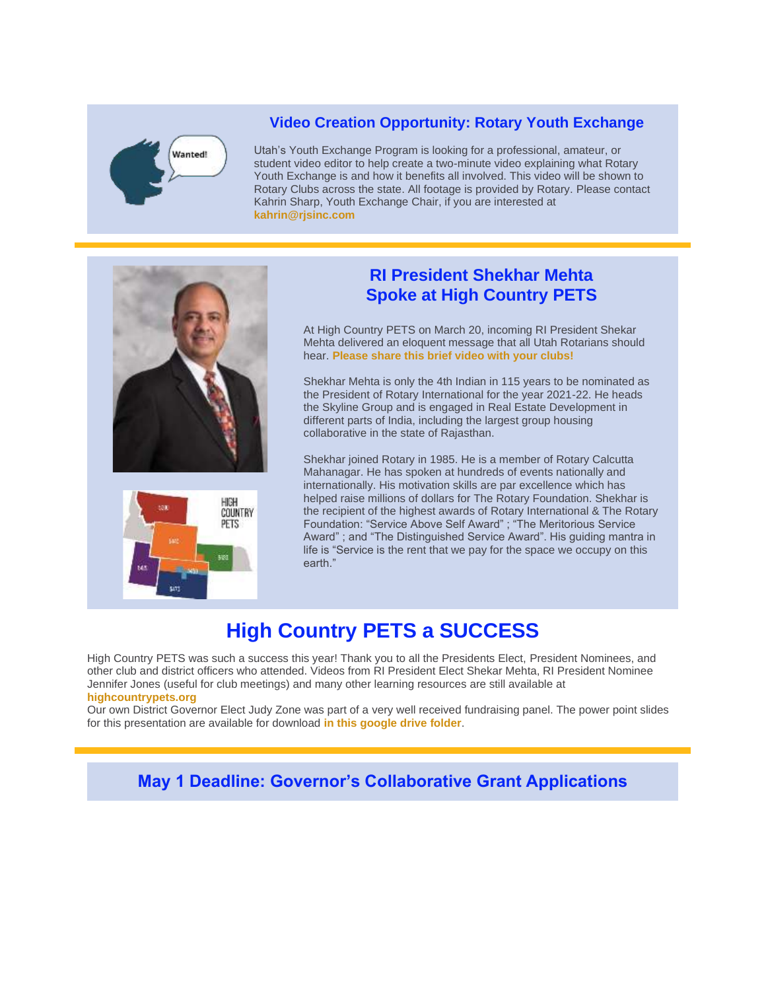# Wanted!

#### **Video Creation Opportunity: Rotary Youth Exchange**

Utah's Youth Exchange Program is looking for a professional, amateur, or student video editor to help create a two-minute video explaining what Rotary Youth Exchange is and how it benefits all involved. This video will be shown to Rotary Clubs across the state. All footage is provided by Rotary. Please contact Kahrin Sharp, Youth Exchange Chair, if you are interested at **[kahrin@rjsinc.com](mailto:kahrin@rjsinc.com)**





## **RI President Shekhar Mehta Spoke at High Country PETS**

At High Country PETS on March 20, incoming RI President Shekar Mehta delivered an eloquent message that all Utah Rotarians should hear. **[Please share this brief video with your clubs!](https://nam04.safelinks.protection.outlook.com/?url=http%3A%2F%2Fr20.rs6.net%2Ftn.jsp%3Ff%3D0014DfaCPhFtsx7U3Bk516hfTWPGaRy-YcnmM11cgiMX9F2u8z83l8rGRBQ_ZAqretN0q2szYt_tNwgEmNPxM9MVfaJ41EyAyvI4E6gEvtcyKslyezGo927vUNR08yzbMhKZYowmQE1ayCr4KTlRfEh9WansjHV1ciwLlWY6Z6s-AMVC2cyEx2WQLnF2EmzXjml%26c%3Dv573Vn_Kfz8iYx1nmgZPER-qzU0WztczC5DPDZcXeYlHpN8R2vXNAw%3D%3D%26ch%3DgjbHUflJLL4R7P31GEr3Ddf3dMCWgmAKh6Wir1_Kabc2azw1TWkFpQ%3D%3D&data=04%7C01%7Cabdrisba%40uvu.edu%7Cff7e5c894c174c85b9f608d8f537982a%7C1ea2b65f2f5e440eb025dfdfafd8e097%7C0%7C0%7C637528968116890471%7CUnknown%7CTWFpbGZsb3d8eyJWIjoiMC4wLjAwMDAiLCJQIjoiV2luMzIiLCJBTiI6Ik1haWwiLCJXVCI6Mn0%3D%7C2000&sdata=At7Je6ig%2BWn0nK1qNzRsMGtQ8Z%2F0isWMcCSJoZmpC5U%3D&reserved=0)**

Shekhar Mehta is only the 4th Indian in 115 years to be nominated as the President of Rotary International for the year 2021-22. He heads the Skyline Group and is engaged in Real Estate Development in different parts of India, including the largest group housing collaborative in the state of Rajasthan.

Shekhar joined Rotary in 1985. He is a member of Rotary Calcutta Mahanagar. He has spoken at hundreds of events nationally and internationally. His motivation skills are par excellence which has helped raise millions of dollars for The Rotary Foundation. Shekhar is the recipient of the highest awards of Rotary International & The Rotary Foundation: "Service Above Self Award" ; "The Meritorious Service Award" ; and "The Distinguished Service Award". His guiding mantra in life is "Service is the rent that we pay for the space we occupy on this earth."

# **High Country PETS a SUCCESS**

High Country PETS was such a success this year! Thank you to all the Presidents Elect, President Nominees, and other club and district officers who attended. Videos from RI President Elect Shekar Mehta, RI President Nominee Jennifer Jones (useful for club meetings) and many other learning resources are still available at **[highcountrypets.org](https://nam04.safelinks.protection.outlook.com/?url=http%3A%2F%2Fr20.rs6.net%2Ftn.jsp%3Ff%3D0014DfaCPhFtsx7U3Bk516hfTWPGaRy-YcnmM11cgiMX9F2u8z83l8rGRBQ_ZAqretNVUH5q57zixb-HroxlF1L7cutpbfYyd6_fVXmCjW4HPfPixxbk-h-2us8FNxeQrzqB-dSFFMU2joKQ698kTp-7g%3D%3D%26c%3Dv573Vn_Kfz8iYx1nmgZPER-qzU0WztczC5DPDZcXeYlHpN8R2vXNAw%3D%3D%26ch%3DgjbHUflJLL4R7P31GEr3Ddf3dMCWgmAKh6Wir1_Kabc2azw1TWkFpQ%3D%3D&data=04%7C01%7Cabdrisba%40uvu.edu%7Cff7e5c894c174c85b9f608d8f537982a%7C1ea2b65f2f5e440eb025dfdfafd8e097%7C0%7C0%7C637528968116890471%7CUnknown%7CTWFpbGZsb3d8eyJWIjoiMC4wLjAwMDAiLCJQIjoiV2luMzIiLCJBTiI6Ik1haWwiLCJXVCI6Mn0%3D%7C2000&sdata=Reg%2FGJhYXRpUxB2Y5pZXzbUwXzBsKFeHvA5P5B2eIBg%3D&reserved=0)**

Our own District Governor Elect Judy Zone was part of a very well received fundraising panel. The power point slides for this presentation are available for download **[in this google drive folder](https://nam04.safelinks.protection.outlook.com/?url=http%3A%2F%2Fr20.rs6.net%2Ftn.jsp%3Ff%3D0014DfaCPhFtsx7U3Bk516hfTWPGaRy-YcnmM11cgiMX9F2u8z83l8rGRBQ_ZAqretNkcK_salvEpth-AdWvNmIEjbRnBwx8FWBGYryngQ8qebObF7aIuy2TWBMDFr3rlnV9zqkg38bpG09HRAEYM0JYnZlcuyG1Day3C7M1rNvVHu0W3lB48IepRHCL2FK-S1ROquq0j4cFcUf9GipGq0XsA%3D%3D%26c%3Dv573Vn_Kfz8iYx1nmgZPER-qzU0WztczC5DPDZcXeYlHpN8R2vXNAw%3D%3D%26ch%3DgjbHUflJLL4R7P31GEr3Ddf3dMCWgmAKh6Wir1_Kabc2azw1TWkFpQ%3D%3D&data=04%7C01%7Cabdrisba%40uvu.edu%7Cff7e5c894c174c85b9f608d8f537982a%7C1ea2b65f2f5e440eb025dfdfafd8e097%7C0%7C0%7C637528968116900471%7CUnknown%7CTWFpbGZsb3d8eyJWIjoiMC4wLjAwMDAiLCJQIjoiV2luMzIiLCJBTiI6Ik1haWwiLCJXVCI6Mn0%3D%7C2000&sdata=6DNMFGxufZ1IHtW6AYz%2FrtbNDKYQpO%2BXeVJn50BNgMM%3D&reserved=0)**.

**May 1 Deadline: Governor's Collaborative Grant Applications**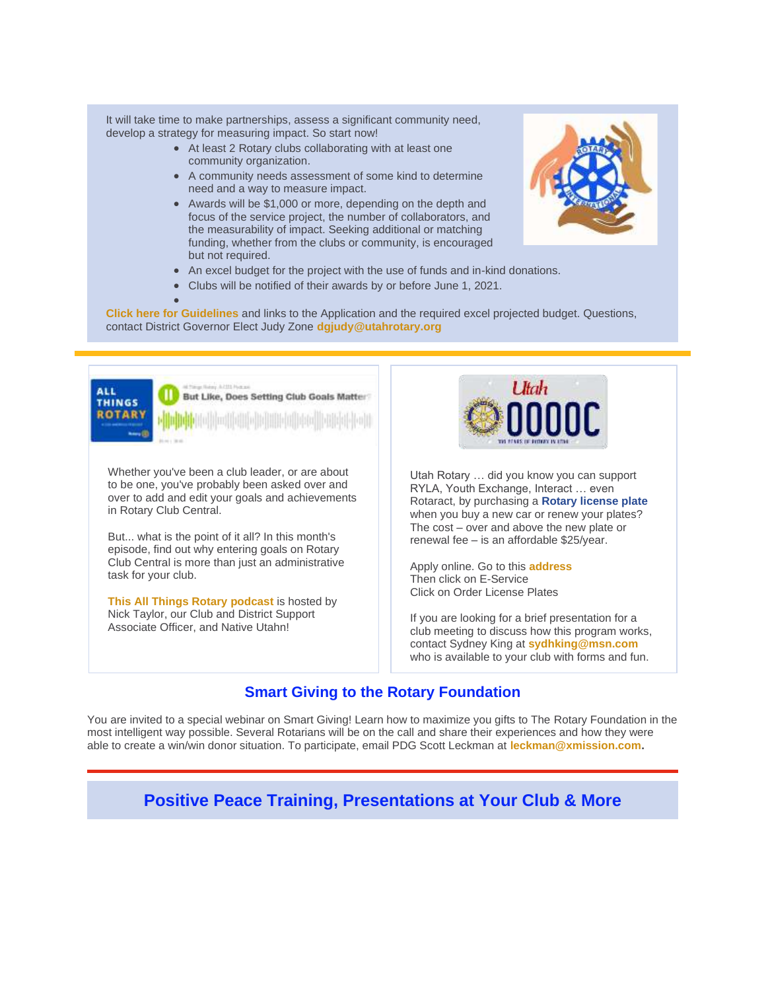It will take time to make partnerships, assess a significant community need, develop a strategy for measuring impact. So start now!

- At least 2 Rotary clubs collaborating with at least one community organization.
- A community needs assessment of some kind to determine need and a way to measure impact.
- Awards will be \$1,000 or more, depending on the depth and focus of the service project, the number of collaborators, and the measurability of impact. Seeking additional or matching funding, whether from the clubs or community, is encouraged but not required.
- An excel budget for the project with the use of funds and in-kind donations.
- Clubs will be notified of their awards by or before June 1, 2021.

• **[Click here for Guidelines](https://nam04.safelinks.protection.outlook.com/?url=http%3A%2F%2Fr20.rs6.net%2Ftn.jsp%3Ff%3D0014DfaCPhFtsx7U3Bk516hfTWPGaRy-YcnmM11cgiMX9F2u8z83l8rGSxLN-G1-3DHv-INfz0y2Qvp3IKblgu3YnwAK7YXD5ZhOe-aPYwMVFUiJVTp8DWVoylq5EI6qlUUK2b2dahceTGY9VJkWJHqldvPUkbRvBRAmclN6SUqb93JIPLWEKFXA374JPZgu5rT1YR94Yyc8TcinEAPdY4vaoXQHF-LJczpExKZndMkeEqkoFEva34mZjM9bHRdDy_N%26c%3Dv573Vn_Kfz8iYx1nmgZPER-qzU0WztczC5DPDZcXeYlHpN8R2vXNAw%3D%3D%26ch%3DgjbHUflJLL4R7P31GEr3Ddf3dMCWgmAKh6Wir1_Kabc2azw1TWkFpQ%3D%3D&data=04%7C01%7Cabdrisba%40uvu.edu%7Cff7e5c894c174c85b9f608d8f537982a%7C1ea2b65f2f5e440eb025dfdfafd8e097%7C0%7C0%7C637528968116900471%7CUnknown%7CTWFpbGZsb3d8eyJWIjoiMC4wLjAwMDAiLCJQIjoiV2luMzIiLCJBTiI6Ik1haWwiLCJXVCI6Mn0%3D%7C2000&sdata=yLktZNeXtCQeeIraZvxv7cV%2BKFNpOTIaGg16oxLbh0Y%3D&reserved=0)** and links to the Application and the required excel projected budget. Questions, contact District Governor Elect Judy Zone **[dgjudy@utahrotary.org](mailto:dgjudy@utahrotary.org)**



Whether you've been a club leader, or are about to be one, you've probably been asked over and over to add and edit your goals and achievements in Rotary Club Central.

But... what is the point of it all? In this month's episode, find out why entering goals on Rotary Club Central is more than just an administrative task for your club.

**[This All Things Rotary podcast](https://nam04.safelinks.protection.outlook.com/?url=http%3A%2F%2Fr20.rs6.net%2Ftn.jsp%3Ff%3D0014DfaCPhFtsx7U3Bk516hfTWPGaRy-YcnmM11cgiMX9F2u8z83l8rGRBQ_ZAqretNBtz-_GachL2g_DLBbQlUs4DPECkm9qCI6mYNHCIZwPxMteACpsBo0hdaokYC8-vbWd9PVsdXK0PGz4q6zcZx0QObuNontqcNr2Wruux37i5XbQT4XeAmuUPs1Wt2XqkyTfU2poJT6drQkYFRT3iZcqWTQGaN-ZEL00I0-KK3MJM2n3ucEJYiew%3D%3D%26c%3Dv573Vn_Kfz8iYx1nmgZPER-qzU0WztczC5DPDZcXeYlHpN8R2vXNAw%3D%3D%26ch%3DgjbHUflJLL4R7P31GEr3Ddf3dMCWgmAKh6Wir1_Kabc2azw1TWkFpQ%3D%3D&data=04%7C01%7Cabdrisba%40uvu.edu%7Cff7e5c894c174c85b9f608d8f537982a%7C1ea2b65f2f5e440eb025dfdfafd8e097%7C0%7C0%7C637528968116910464%7CUnknown%7CTWFpbGZsb3d8eyJWIjoiMC4wLjAwMDAiLCJQIjoiV2luMzIiLCJBTiI6Ik1haWwiLCJXVCI6Mn0%3D%7C2000&sdata=ibulv10TYS%2F2MKnPOIs6VunfP26%2FZtFLKGJQy1eLczE%3D&reserved=0)** [is](https://nam04.safelinks.protection.outlook.com/?url=http%3A%2F%2Fr20.rs6.net%2Ftn.jsp%3Ff%3D0014DfaCPhFtsx7U3Bk516hfTWPGaRy-YcnmM11cgiMX9F2u8z83l8rGRBQ_ZAqretNBtz-_GachL2g_DLBbQlUs4DPECkm9qCI6mYNHCIZwPxMteACpsBo0hdaokYC8-vbWd9PVsdXK0PGz4q6zcZx0QObuNontqcNr2Wruux37i5XbQT4XeAmuUPs1Wt2XqkyTfU2poJT6drQkYFRT3iZcqWTQGaN-ZEL00I0-KK3MJM2n3ucEJYiew%3D%3D%26c%3Dv573Vn_Kfz8iYx1nmgZPER-qzU0WztczC5DPDZcXeYlHpN8R2vXNAw%3D%3D%26ch%3DgjbHUflJLL4R7P31GEr3Ddf3dMCWgmAKh6Wir1_Kabc2azw1TWkFpQ%3D%3D&data=04%7C01%7Cabdrisba%40uvu.edu%7Cff7e5c894c174c85b9f608d8f537982a%7C1ea2b65f2f5e440eb025dfdfafd8e097%7C0%7C0%7C637528968116910464%7CUnknown%7CTWFpbGZsb3d8eyJWIjoiMC4wLjAwMDAiLCJQIjoiV2luMzIiLCJBTiI6Ik1haWwiLCJXVCI6Mn0%3D%7C2000&sdata=ibulv10TYS%2F2MKnPOIs6VunfP26%2FZtFLKGJQy1eLczE%3D&reserved=0) hosted by Nick Taylor, our Club and District Support Associate Officer, and Native Utahn!



Utah Rotary … did you know you can support RYLA, Youth Exchange, Interact … even Rotaract, by purchasing a **Rotary license plate**  when you buy a new car or renew your plates? The cost – over and above the new plate or renewal fee – is an affordable \$25/year.

Apply online. Go to this **[address](https://nam04.safelinks.protection.outlook.com/?url=http%3A%2F%2Fr20.rs6.net%2Ftn.jsp%3Ff%3D0014DfaCPhFtsx7U3Bk516hfTWPGaRy-YcnmM11cgiMX9F2u8z83l8rGRBQ_ZAqretNUDhEw6G_uoFScUP9rzPShLXP7H6e5RKMawTa7iWaWL5yuTd2RAzi-m8VaRRY6P4LNUUp37KwvAKWjd9wr4KkdsChLHb1F8EwYkjjIIdPAEQ%3D%26c%3Dv573Vn_Kfz8iYx1nmgZPER-qzU0WztczC5DPDZcXeYlHpN8R2vXNAw%3D%3D%26ch%3DgjbHUflJLL4R7P31GEr3Ddf3dMCWgmAKh6Wir1_Kabc2azw1TWkFpQ%3D%3D&data=04%7C01%7Cabdrisba%40uvu.edu%7Cff7e5c894c174c85b9f608d8f537982a%7C1ea2b65f2f5e440eb025dfdfafd8e097%7C0%7C0%7C637528968116920459%7CUnknown%7CTWFpbGZsb3d8eyJWIjoiMC4wLjAwMDAiLCJQIjoiV2luMzIiLCJBTiI6Ik1haWwiLCJXVCI6Mn0%3D%7C2000&sdata=ALc9lKS%2BxPiSzyVCElr3X9P2IdVY2vj5y8qVfZ0Q6%2BA%3D&reserved=0)** Then click on E-Service Click on Order License Plates

If you are looking for a brief presentation for a club meeting to discuss how this program works, contact Sydney King at **[sydhking@msn.com](mailto:sydhking@msn.com)** who is available to your club with forms and fun.

### **Smart Giving to the Rotary Foundation**

You are invited to a special webinar on Smart Giving! Learn how to maximize you gifts to The Rotary Foundation in the most intelligent way possible. Several Rotarians will be on the call and share their experiences and how they were able to create a win/win donor situation. To participate, email PDG Scott Leckman at **[leckman@xmission.com.](mailto:leckman@xmission.com)**

**Positive Peace Training, Presentations at Your Club & More**

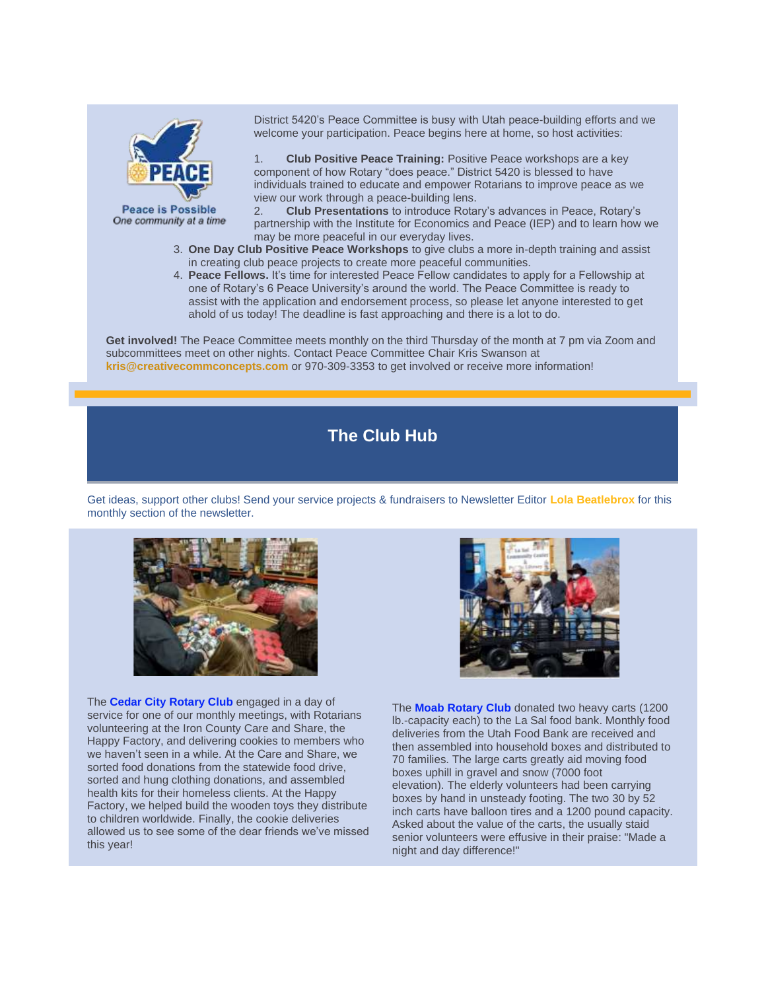

**Peace is Possible** One community at a time

District 5420's Peace Committee is busy with Utah peace-building efforts and we welcome your participation. Peace begins here at home, so host activities:

1. **Club Positive Peace Training:** Positive Peace workshops are a key component of how Rotary "does peace." District 5420 is blessed to have individuals trained to educate and empower Rotarians to improve peace as we view our work through a peace-building lens.

2. **Club Presentations** to introduce Rotary's advances in Peace, Rotary's partnership with the Institute for Economics and Peace (IEP) and to learn how we may be more peaceful in our everyday lives.

- 3. **One Day Club Positive Peace Workshops** to give clubs a more in-depth training and assist in creating club peace projects to create more peaceful communities.
- 4. **Peace Fellows.** It's time for interested Peace Fellow candidates to apply for a Fellowship at one of Rotary's 6 Peace University's around the world. The Peace Committee is ready to assist with the application and endorsement process, so please let anyone interested to get ahold of us today! The deadline is fast approaching and there is a lot to do.

**Get involved!** The Peace Committee meets monthly on the third Thursday of the month at 7 pm via Zoom and subcommittees meet on other nights. Contact Peace Committee Chair Kris Swanson at **[kris@creativecommconcepts.com](mailto:kris@creativecommconcepts.com)** or 970-309-3353 to get involved or receive more information!

## **The Club Hub**

Get ideas, support other clubs! Send your service projects & fundraisers to Newsletter Editor **[Lola Beatlebrox](mailto:lolabeatlebrox@gmail.com)** for this monthly section of the newsletter.



The **Cedar City Rotary Club** engaged in a day of service for one of our monthly meetings, with Rotarians volunteering at the Iron County Care and Share, the Happy Factory, and delivering cookies to members who we haven't seen in a while. At the Care and Share, we sorted food donations from the statewide food drive, sorted and hung clothing donations, and assembled health kits for their homeless clients. At the Happy Factory, we helped build the wooden toys they distribute to children worldwide. Finally, the cookie deliveries allowed us to see some of the dear friends we've missed this year!



The **Moab Rotary Club** donated two heavy carts (1200 lb.-capacity each) to the La Sal food bank. Monthly food deliveries from the Utah Food Bank are received and then assembled into household boxes and distributed to 70 families. The large carts greatly aid moving food boxes uphill in gravel and snow (7000 foot elevation). The elderly volunteers had been carrying boxes by hand in unsteady footing. The two 30 by 52 inch carts have balloon tires and a 1200 pound capacity. Asked about the value of the carts, the usually staid senior volunteers were effusive in their praise: "Made a night and day difference!"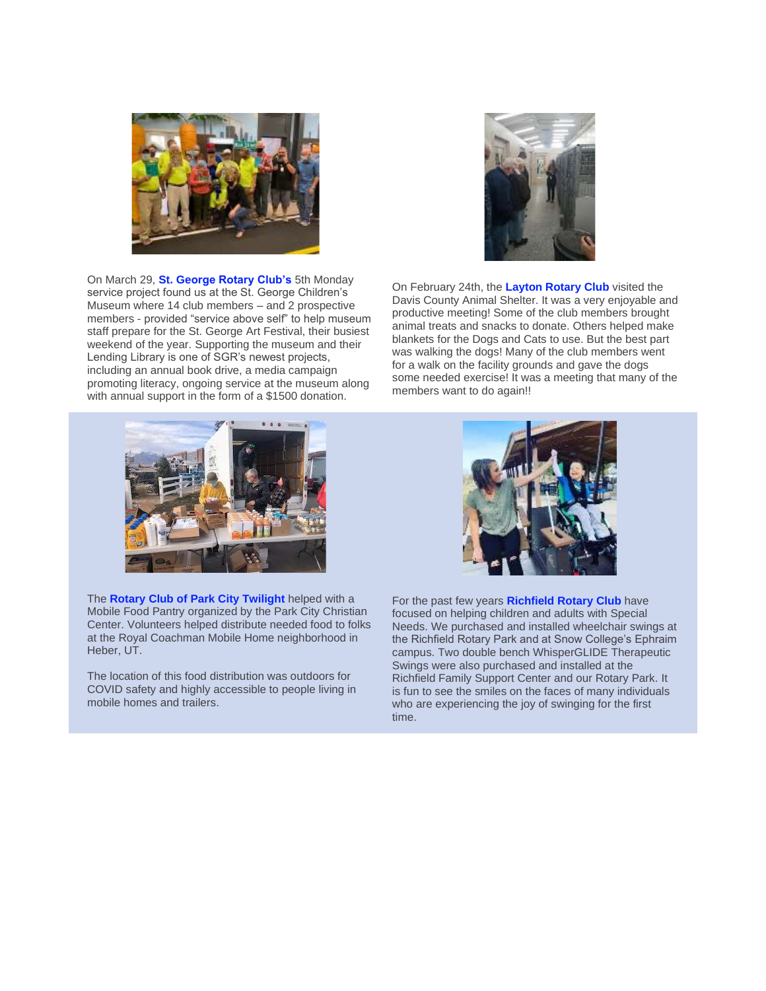

On March 29, **St. George Rotary Club's** 5th Monday service project found us at the St. George Children's Museum where 14 club members – and 2 prospective members - provided "service above self" to help museum staff prepare for the St. George Art Festival, their busiest weekend of the year. Supporting the museum and their Lending Library is one of SGR's newest projects, including an annual book drive, a media campaign promoting literacy, ongoing service at the museum along with annual support in the form of a \$1500 donation.



On February 24th, the **Layton Rotary Club** visited the Davis County Animal Shelter. It was a very enjoyable and productive meeting! Some of the club members brought animal treats and snacks to donate. Others helped make blankets for the Dogs and Cats to use. But the best part was walking the dogs! Many of the club members went for a walk on the facility grounds and gave the dogs some needed exercise! It was a meeting that many of the members want to do again!!



The **Rotary Club of Park City Twilight** helped with a Mobile Food Pantry organized by the Park City Christian Center. Volunteers helped distribute needed food to folks at the Royal Coachman Mobile Home neighborhood in Heber, UT.

The location of this food distribution was outdoors for COVID safety and highly accessible to people living in mobile homes and trailers.



For the past few years **Richfield Rotary Club** have focused on helping children and adults with Special Needs. We purchased and installed wheelchair swings at the Richfield Rotary Park and at Snow College's Ephraim campus. Two double bench WhisperGLIDE Therapeutic Swings were also purchased and installed at the Richfield Family Support Center and our Rotary Park. It is fun to see the smiles on the faces of many individuals who are experiencing the joy of swinging for the first time.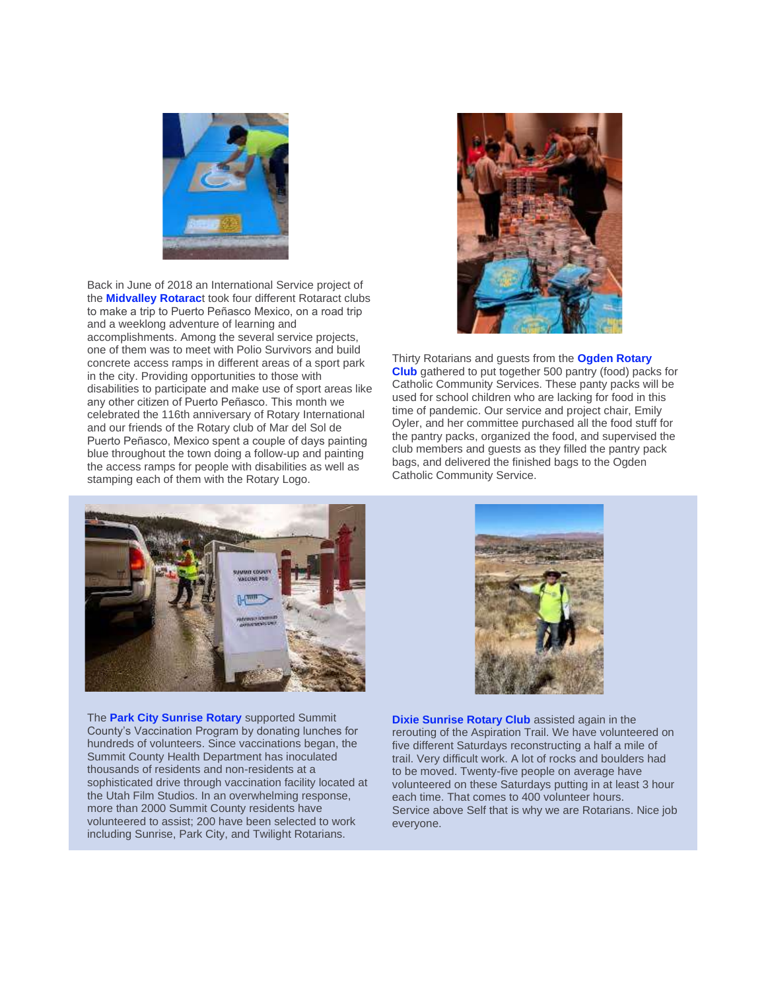

Back in June of 2018 an International Service project of the **Midvalley Rotarac**t took four different Rotaract clubs to make a trip to Puerto Peñasco Mexico, on a road trip and a weeklong adventure of learning and accomplishments. Among the several service projects, one of them was to meet with Polio Survivors and build concrete access ramps in different areas of a sport park in the city. Providing opportunities to those with disabilities to participate and make use of sport areas like any other citizen of Puerto Peñasco. This month we celebrated the 116th anniversary of Rotary International and our friends of the Rotary club of Mar del Sol de Puerto Peñasco, Mexico spent a couple of days painting blue throughout the town doing a follow-up and painting the access ramps for people with disabilities as well as stamping each of them with the Rotary Logo.



Thirty Rotarians and guests from the **Ogden Rotary Club** gathered to put together 500 pantry (food) packs for Catholic Community Services. These panty packs will be used for school children who are lacking for food in this time of pandemic. Our service and project chair, Emily Oyler, and her committee purchased all the food stuff for the pantry packs, organized the food, and supervised the club members and guests as they filled the pantry pack bags, and delivered the finished bags to the Ogden Catholic Community Service.



The **Park City Sunrise Rotary** supported Summit County's Vaccination Program by donating lunches for hundreds of volunteers. Since vaccinations began, the Summit County Health Department has inoculated thousands of residents and non-residents at a sophisticated drive through vaccination facility located at the Utah Film Studios. In an overwhelming response, more than 2000 Summit County residents have volunteered to assist; 200 have been selected to work including Sunrise, Park City, and Twilight Rotarians.



**Dixie Sunrise Rotary Club** assisted again in the rerouting of the Aspiration Trail. We have volunteered on five different Saturdays reconstructing a half a mile of trail. Very difficult work. A lot of rocks and boulders had to be moved. Twenty-five people on average have volunteered on these Saturdays putting in at least 3 hour each time. That comes to 400 volunteer hours. Service above Self that is why we are Rotarians. Nice job everyone.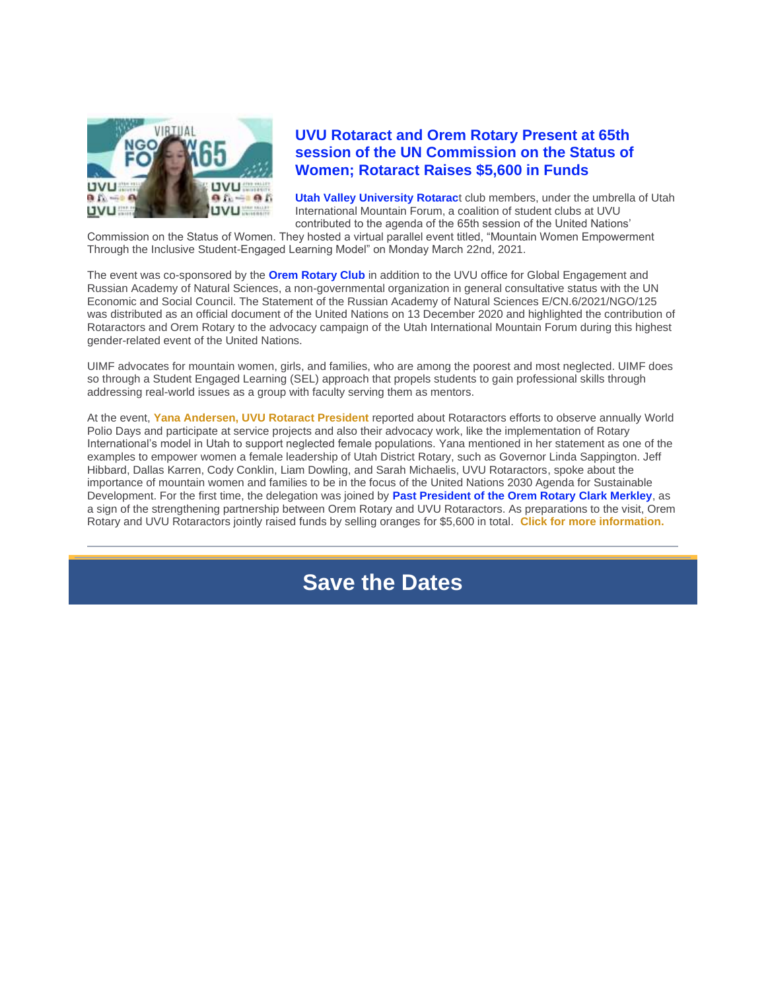

#### **UVU Rotaract and Orem Rotary Present at 65th session of the UN Commission on the Status of Women; Rotaract Raises \$5,600 in Funds**

**Utah Valley University Rotarac**t club members, under the umbrella of Utah International Mountain Forum, a coalition of student clubs at UVU contributed to the agenda of the 65th session of the United Nations'

Commission on the Status of Women. They hosted a virtual parallel event titled, "Mountain Women Empowerment Through the Inclusive Student-Engaged Learning Model" on Monday March 22nd, 2021.

The event was co-sponsored by the **Orem Rotary Club** in addition to the UVU office for Global Engagement and Russian Academy of Natural Sciences, a non-governmental organization in general consultative status with the UN Economic and Social Council. The Statement of the Russian Academy of Natural Sciences E/CN.6/2021/NGO/125 was distributed as an official document of the United Nations on 13 December 2020 and highlighted the contribution of Rotaractors and Orem Rotary to the advocacy campaign of the Utah International Mountain Forum during this highest gender-related event of the United Nations.

UIMF advocates for mountain women, girls, and families, who are among the poorest and most neglected. UIMF does so through a Student Engaged Learning (SEL) approach that propels students to gain professional skills through addressing real-world issues as a group with faculty serving them as mentors.

At the event, **Yana Andersen, [UVU Rotaract President](https://nam04.safelinks.protection.outlook.com/?url=http%3A%2F%2Fr20.rs6.net%2Ftn.jsp%3Ff%3D0014DfaCPhFtsx7U3Bk516hfTWPGaRy-YcnmM11cgiMX9F2u8z83l8rGRBQ_ZAqretNfvuoA97lrvj9-BHUBa7vwFXUKZBdOoS0lpxDR3VnhJy-W3Xyowgddo-cYInjx1BP5bc8M8Z2FvG_h_BFVMdWWJWD9KhBNrBELjYTMrR_vIheyvxZT8hWk4Nuj1_lJzl3_qksID5GIjkBXx7r6H6eNkFxjtYfcEXRSD-nIn_THPQWJbcXKPEHMJr7yLphffxqO_daarGTh5rw0D6BqnOe6mQaR72aRkew%26c%3Dv573Vn_Kfz8iYx1nmgZPER-qzU0WztczC5DPDZcXeYlHpN8R2vXNAw%3D%3D%26ch%3DgjbHUflJLL4R7P31GEr3Ddf3dMCWgmAKh6Wir1_Kabc2azw1TWkFpQ%3D%3D&data=04%7C01%7Cabdrisba%40uvu.edu%7Cff7e5c894c174c85b9f608d8f537982a%7C1ea2b65f2f5e440eb025dfdfafd8e097%7C0%7C0%7C637528968117140337%7CUnknown%7CTWFpbGZsb3d8eyJWIjoiMC4wLjAwMDAiLCJQIjoiV2luMzIiLCJBTiI6Ik1haWwiLCJXVCI6Mn0%3D%7C2000&sdata=rSarMHi7oUGQoPp9th5z%2FGGufRO1N3RyQI%2BDB2TKRdo%3D&reserved=0)** reported about Rotaractors efforts to observe annually World Polio Days and participate at service projects and also their advocacy work, like the implementation of Rotary International's model in Utah to support neglected female populations. Yana mentioned in her statement as one of the examples to empower women a female leadership of Utah District Rotary, such as Governor Linda Sappington. Jeff Hibbard, Dallas Karren, Cody Conklin, Liam Dowling, and Sarah Michaelis, UVU Rotaractors, spoke about the importance of mountain women and families to be in the focus of the United Nations 2030 Agenda for Sustainable Development. For the first time, the delegation was joined by **Past President of the Orem Rotary Clark Merkley**, as a sign of the strengthening partnership between Orem Rotary and UVU Rotaractors. As preparations to the visit, Orem Rotary and UVU Rotaractors jointly raised funds by selling oranges for \$5,600 in total. **[Click for more information.](https://nam04.safelinks.protection.outlook.com/?url=http%3A%2F%2Fr20.rs6.net%2Ftn.jsp%3Ff%3D0014DfaCPhFtsx7U3Bk516hfTWPGaRy-YcnmM11cgiMX9F2u8z83l8rGRBQ_ZAqretNfvuoA97lrvj9-BHUBa7vwFXUKZBdOoS0lpxDR3VnhJy-W3Xyowgddo-cYInjx1BP5bc8M8Z2FvG_h_BFVMdWWJWD9KhBNrBELjYTMrR_vIheyvxZT8hWk4Nuj1_lJzl3_qksID5GIjkBXx7r6H6eNkFxjtYfcEXRSD-nIn_THPQWJbcXKPEHMJr7yLphffxqO_daarGTh5rw0D6BqnOe6mQaR72aRkew%26c%3Dv573Vn_Kfz8iYx1nmgZPER-qzU0WztczC5DPDZcXeYlHpN8R2vXNAw%3D%3D%26ch%3DgjbHUflJLL4R7P31GEr3Ddf3dMCWgmAKh6Wir1_Kabc2azw1TWkFpQ%3D%3D&data=04%7C01%7Cabdrisba%40uvu.edu%7Cff7e5c894c174c85b9f608d8f537982a%7C1ea2b65f2f5e440eb025dfdfafd8e097%7C0%7C0%7C637528968117140337%7CUnknown%7CTWFpbGZsb3d8eyJWIjoiMC4wLjAwMDAiLCJQIjoiV2luMzIiLCJBTiI6Ik1haWwiLCJXVCI6Mn0%3D%7C2000&sdata=rSarMHi7oUGQoPp9th5z%2FGGufRO1N3RyQI%2BDB2TKRdo%3D&reserved=0)**

# **Save the Dates**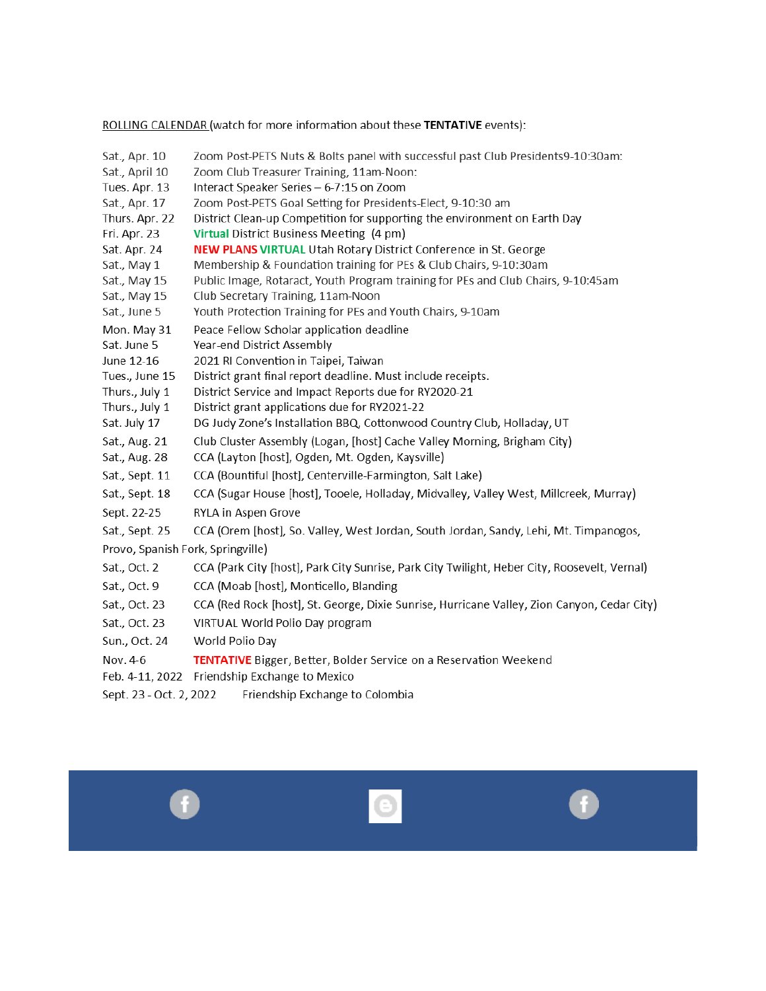ROLLING CALENDAR (watch for more information about these TENTATIVE events):

| Sat., Apr. 10                     | Zoom Post-PETS Nuts & Bolts panel with successful past Club Presidents9-10:30am:                                      |
|-----------------------------------|-----------------------------------------------------------------------------------------------------------------------|
| Sat., April 10                    | Zoom Club Treasurer Training, 11am-Noon:                                                                              |
| Tues. Apr. 13                     | Interact Speaker Series - 6-7:15 on Zoom                                                                              |
| Sat., Apr. 17                     | Zoom Post-PETS Goal Setting for Presidents-Elect, 9-10:30 am                                                          |
| Thurs. Apr. 22                    | District Clean-up Competition for supporting the environment on Earth Day                                             |
| Fri. Apr. 23                      | Virtual District Business Meeting (4 pm)                                                                              |
| Sat. Apr. 24                      | <b>NEW PLANS VIRTUAL Utah Rotary District Conference in St. George</b>                                                |
| Sat., May 1                       | Membership & Foundation training for PEs & Club Chairs, 9-10:30am                                                     |
| Sat., May 15                      | Public Image, Rotaract, Youth Program training for PEs and Club Chairs, 9-10:45am                                     |
| Sat., May 15                      | Club Secretary Training, 11am-Noon                                                                                    |
| Sat., June 5                      | Youth Protection Training for PEs and Youth Chairs, 9-10am                                                            |
| Mon. May 31                       | Peace Fellow Scholar application deadline                                                                             |
| Sat. June 5                       | Year-end District Assembly                                                                                            |
| June 12-16                        | 2021 RI Convention in Taipei, Taiwan                                                                                  |
| Tues., June 15                    | District grant final report deadline. Must include receipts.<br>District Service and Impact Reports due for RY2020-21 |
| Thurs., July 1<br>Thurs., July 1  | District grant applications due for RY2021-22                                                                         |
| Sat. July 17                      | DG Judy Zone's Installation BBQ, Cottonwood Country Club, Holladay, UT                                                |
| Sat., Aug. 21                     | Club Cluster Assembly (Logan, [host] Cache Valley Morning, Brigham City)                                              |
| Sat., Aug. 28                     | CCA (Layton [host], Ogden, Mt. Ogden, Kaysville)                                                                      |
| Sat., Sept. 11                    | CCA (Bountiful [host], Centerville-Farmington, Salt Lake)                                                             |
| Sat., Sept. 18                    | CCA (Sugar House [host], Tooele, Holladay, Midvalley, Valley West, Millcreek, Murray)                                 |
| Sept. 22-25                       | RYLA in Aspen Grove                                                                                                   |
| Sat., Sept. 25                    | CCA (Orem [host], So. Valley, West Jordan, South Jordan, Sandy, Lehi, Mt. Timpanogos,                                 |
| Provo, Spanish Fork, Springville) |                                                                                                                       |
| Sat., Oct. 2                      | CCA (Park City [host], Park City Sunrise, Park City Twilight, Heber City, Roosevelt, Vernal)                          |
| Sat., Oct. 9                      | CCA (Moab [host], Monticello, Blanding                                                                                |
| Sat., Oct. 23                     | CCA (Red Rock [host], St. George, Dixie Sunrise, Hurricane Valley, Zion Canyon, Cedar City)                           |
| Sat., Oct. 23                     | VIRTUAL World Polio Day program                                                                                       |
| Sun., Oct. 24                     | World Polio Day                                                                                                       |
| Nov. 4-6                          | <b>TENTATIVE</b> Bigger, Better, Bolder Service on a Reservation Weekend                                              |
|                                   | Feb. 4-11, 2022 Friendship Exchange to Mexico                                                                         |
| Sept. 23 - Oct. 2, 2022           | Friendship Exchange to Colombia                                                                                       |